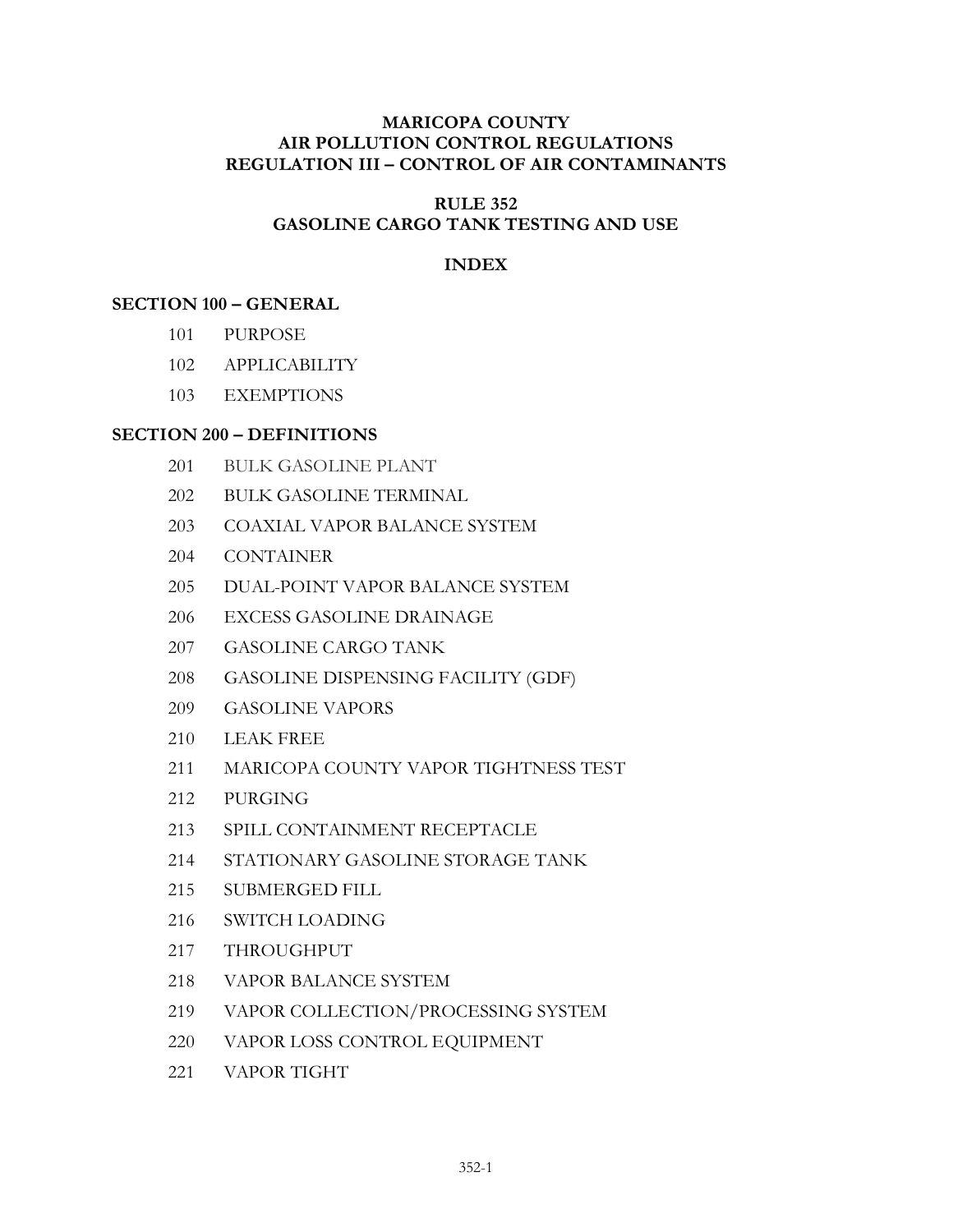### **MARICOPA COUNTY AIR POLLUTION CONTROL REGULATIONS REGULATION III – CONTROL OF AIR CONTAMINANTS**

# **RULE 352 GASOLINE CARGO TANK TESTING AND USE**

# **INDEX**

#### **SECTION 100 – GENERAL**

- PURPOSE
- APPLICABILITY
- EXEMPTIONS

#### **SECTION 200 – DEFINITIONS**

- BULK GASOLINE PLANT
- BULK GASOLINE TERMINAL
- COAXIAL VAPOR BALANCE SYSTEM
- CONTAINER
- DUAL-POINT VAPOR BALANCE SYSTEM
- EXCESS GASOLINE DRAINAGE
- GASOLINE CARGO TANK
- GASOLINE DISPENSING FACILITY (GDF)
- GASOLINE VAPORS
- LEAK FREE
- MARICOPA COUNTY VAPOR TIGHTNESS TEST
- PURGING
- SPILL CONTAINMENT RECEPTACLE
- STATIONARY GASOLINE STORAGE TANK
- SUBMERGED FILL
- SWITCH LOADING
- THROUGHPUT
- VAPOR BALANCE SYSTEM
- VAPOR COLLECTION/PROCESSING SYSTEM
- VAPOR LOSS CONTROL EQUIPMENT
- VAPOR TIGHT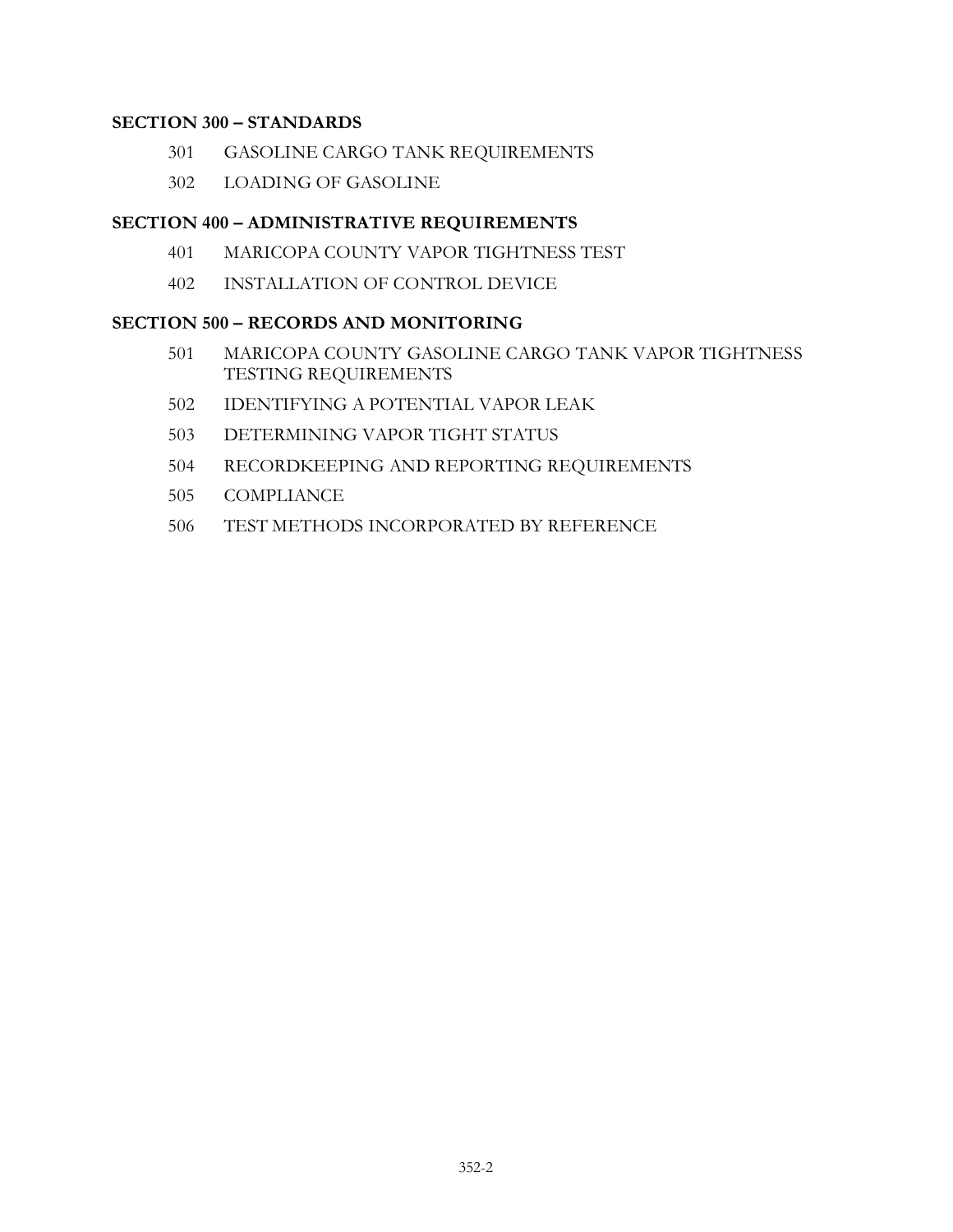#### **SECTION 300 – STANDARDS**

- GASOLINE CARGO TANK REQUIREMENTS
- LOADING OF GASOLINE

# **SECTION 400 – ADMINISTRATIVE REQUIREMENTS**

- MARICOPA COUNTY VAPOR TIGHTNESS TEST
- INSTALLATION OF CONTROL DEVICE

# **SECTION 500 – RECORDS AND MONITORING**

- MARICOPA COUNTY GASOLINE CARGO TANK VAPOR TIGHTNESS TESTING REQUIREMENTS
- IDENTIFYING A POTENTIAL VAPOR LEAK
- DETERMINING VAPOR TIGHT STATUS
- RECORDKEEPING AND REPORTING REQUIREMENTS
- COMPLIANCE
- TEST METHODS INCORPORATED BY REFERENCE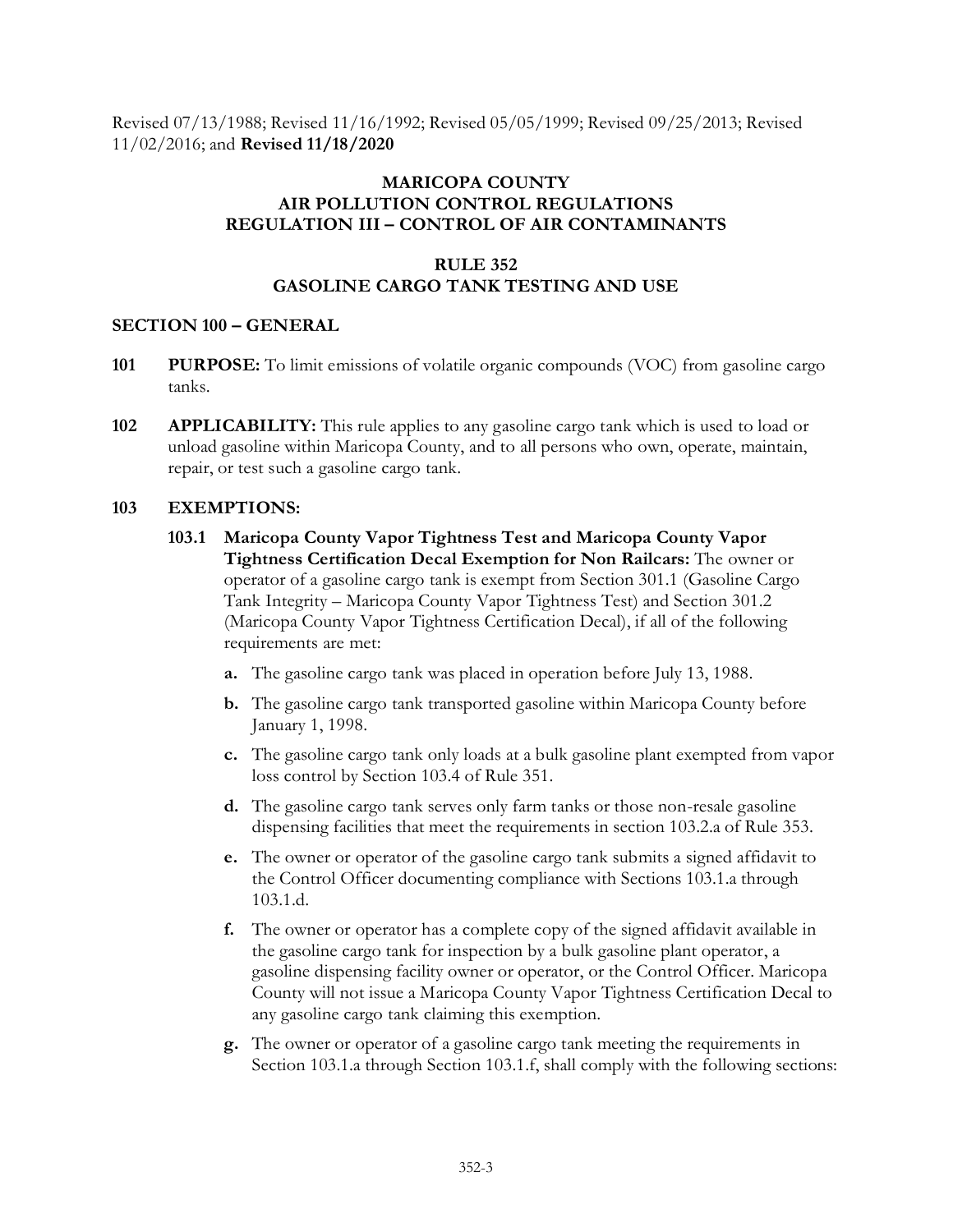Revised 07/13/1988; Revised 11/16/1992; Revised 05/05/1999; Revised 09/25/2013; Revised 11/02/2016; and **Revised 11/18/2020**

# **MARICOPA COUNTY AIR POLLUTION CONTROL REGULATIONS REGULATION III – CONTROL OF AIR CONTAMINANTS**

# **RULE 352 GASOLINE CARGO TANK TESTING AND USE**

### **SECTION 100 – GENERAL**

- **101 PURPOSE:** To limit emissions of volatile organic compounds (VOC) from gasoline cargo tanks.
- **102 APPLICABILITY:** This rule applies to any gasoline cargo tank which is used to load or unload gasoline within Maricopa County, and to all persons who own, operate, maintain, repair, or test such a gasoline cargo tank.

### **103 EXEMPTIONS:**

- **103.1 Maricopa County Vapor Tightness Test and Maricopa County Vapor Tightness Certification Decal Exemption for Non Railcars:** The owner or operator of a gasoline cargo tank is exempt from Section 301.1 (Gasoline Cargo Tank Integrity – Maricopa County Vapor Tightness Test) and Section 301.2 (Maricopa County Vapor Tightness Certification Decal), if all of the following requirements are met:
	- **a.** The gasoline cargo tank was placed in operation before July 13, 1988.
	- **b.** The gasoline cargo tank transported gasoline within Maricopa County before January 1, 1998.
	- **c.** The gasoline cargo tank only loads at a bulk gasoline plant exempted from vapor loss control by Section 103.4 of Rule 351.
	- **d.** The gasoline cargo tank serves only farm tanks or those non-resale gasoline dispensing facilities that meet the requirements in section 103.2.a of Rule 353.
	- **e.** The owner or operator of the gasoline cargo tank submits a signed affidavit to the Control Officer documenting compliance with Sections 103.1.a through 103.1.d.
	- **f.** The owner or operator has a complete copy of the signed affidavit available in the gasoline cargo tank for inspection by a bulk gasoline plant operator, a gasoline dispensing facility owner or operator, or the Control Officer. Maricopa County will not issue a Maricopa County Vapor Tightness Certification Decal to any gasoline cargo tank claiming this exemption.
	- **g.** The owner or operator of a gasoline cargo tank meeting the requirements in Section 103.1.a through Section 103.1.f, shall comply with the following sections: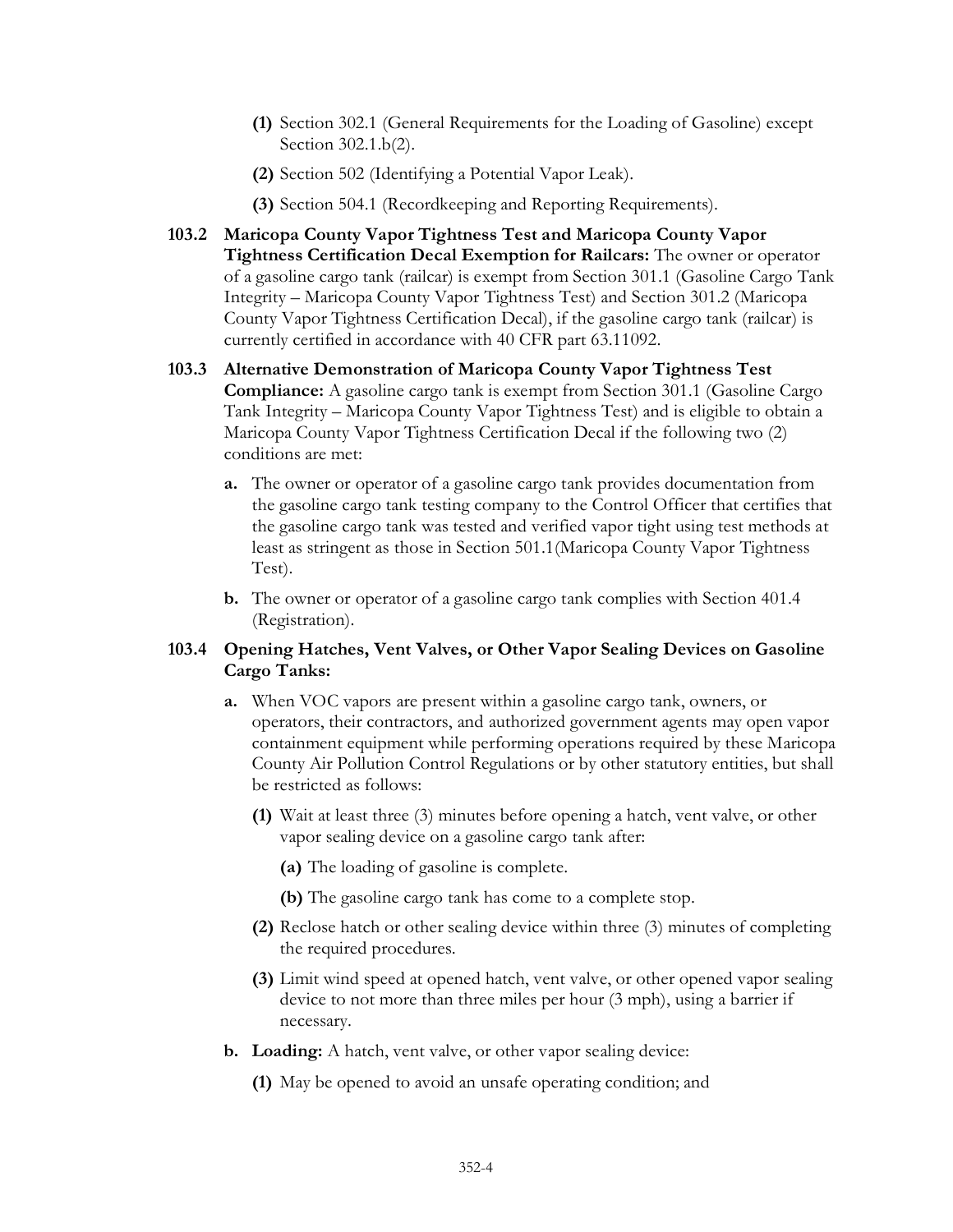- **(1)** Section 302.1 (General Requirements for the Loading of Gasoline) except Section 302.1.b(2).
- **(2)** Section 502 (Identifying a Potential Vapor Leak).
- **(3)** Section 504.1 (Recordkeeping and Reporting Requirements).
- **103.2 Maricopa County Vapor Tightness Test and Maricopa County Vapor Tightness Certification Decal Exemption for Railcars:** The owner or operator of a gasoline cargo tank (railcar) is exempt from Section 301.1 (Gasoline Cargo Tank Integrity – Maricopa County Vapor Tightness Test) and Section 301.2 (Maricopa County Vapor Tightness Certification Decal), if the gasoline cargo tank (railcar) is currently certified in accordance with 40 CFR part 63.11092.
- **103.3 Alternative Demonstration of Maricopa County Vapor Tightness Test Compliance:** A gasoline cargo tank is exempt from Section 301.1 (Gasoline Cargo Tank Integrity – Maricopa County Vapor Tightness Test) and is eligible to obtain a Maricopa County Vapor Tightness Certification Decal if the following two (2) conditions are met:
	- **a.** The owner or operator of a gasoline cargo tank provides documentation from the gasoline cargo tank testing company to the Control Officer that certifies that the gasoline cargo tank was tested and verified vapor tight using test methods at least as stringent as those in Section 501.1(Maricopa County Vapor Tightness Test).
	- **b.** The owner or operator of a gasoline cargo tank complies with Section 401.4 (Registration).

# **103.4 Opening Hatches, Vent Valves, or Other Vapor Sealing Devices on Gasoline Cargo Tanks:**

- **a.** When VOC vapors are present within a gasoline cargo tank, owners, or operators, their contractors, and authorized government agents may open vapor containment equipment while performing operations required by these Maricopa County Air Pollution Control Regulations or by other statutory entities, but shall be restricted as follows:
	- **(1)** Wait at least three (3) minutes before opening a hatch, vent valve, or other vapor sealing device on a gasoline cargo tank after:
		- **(a)** The loading of gasoline is complete.
		- **(b)** The gasoline cargo tank has come to a complete stop.
	- **(2)** Reclose hatch or other sealing device within three (3) minutes of completing the required procedures.
	- **(3)** Limit wind speed at opened hatch, vent valve, or other opened vapor sealing device to not more than three miles per hour (3 mph), using a barrier if necessary.
- **b. Loading:** A hatch, vent valve, or other vapor sealing device:
	- **(1)** May be opened to avoid an unsafe operating condition; and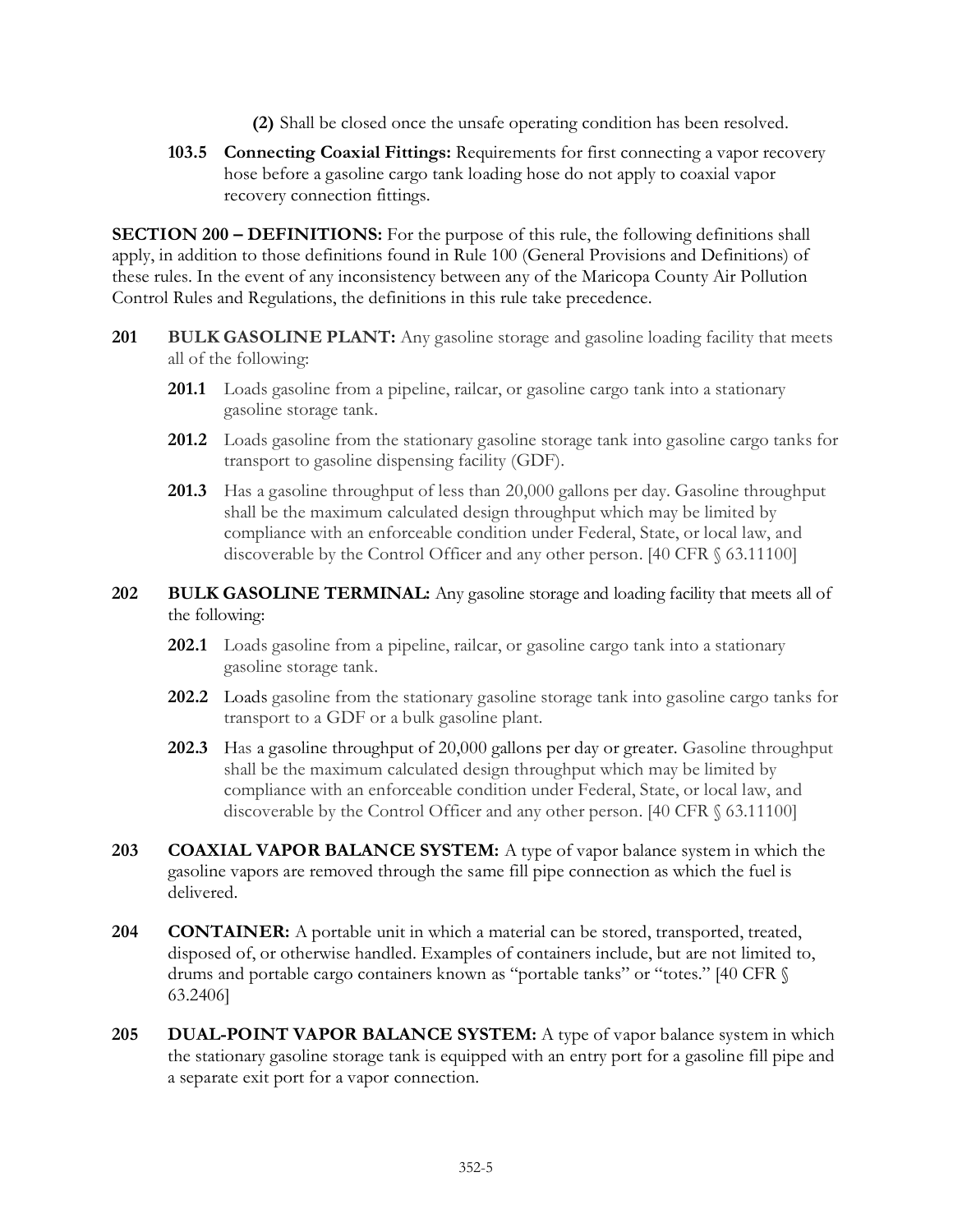**(2)** Shall be closed once the unsafe operating condition has been resolved.

**103.5 Connecting Coaxial Fittings:** Requirements for first connecting a vapor recovery hose before a gasoline cargo tank loading hose do not apply to coaxial vapor recovery connection fittings.

**SECTION 200 – DEFINITIONS:** For the purpose of this rule, the following definitions shall apply, in addition to those definitions found in Rule 100 (General Provisions and Definitions) of these rules. In the event of any inconsistency between any of the Maricopa County Air Pollution Control Rules and Regulations, the definitions in this rule take precedence.

- **201 BULK GASOLINE PLANT:** Any gasoline storage and gasoline loading facility that meets all of the following:
	- **201.1** Loads gasoline from a pipeline, railcar, or gasoline cargo tank into a stationary gasoline storage tank.
	- **201.2** Loads gasoline from the stationary gasoline storage tank into gasoline cargo tanks for transport to gasoline dispensing facility (GDF).
	- **201.3** Has a gasoline throughput of less than 20,000 gallons per day. Gasoline throughput shall be the maximum calculated design throughput which may be limited by compliance with an enforceable condition under Federal, State, or local law, and discoverable by the Control Officer and any other person. [40 CFR § 63.11100]
- **202 BULK GASOLINE TERMINAL:** Any gasoline storage and loading facility that meets all of the following:
	- **202.1** Loads gasoline from a pipeline, railcar, or gasoline cargo tank into a stationary gasoline storage tank.
	- **202.2** Loads gasoline from the stationary gasoline storage tank into gasoline cargo tanks for transport to a GDF or a bulk gasoline plant.
	- **202.3** Has a gasoline throughput of 20,000 gallons per day or greater. Gasoline throughput shall be the maximum calculated design throughput which may be limited by compliance with an enforceable condition under Federal, State, or local law, and discoverable by the Control Officer and any other person. [40 CFR § 63.11100]
- **203 COAXIAL VAPOR BALANCE SYSTEM:** A type of vapor balance system in which the gasoline vapors are removed through the same fill pipe connection as which the fuel is delivered.
- **204 CONTAINER:** A portable unit in which a material can be stored, transported, treated, disposed of, or otherwise handled. Examples of containers include, but are not limited to, drums and portable cargo containers known as "portable tanks" or "totes." [40 CFR § 63.2406]
- **205 DUAL-POINT VAPOR BALANCE SYSTEM:** A type of vapor balance system in which the stationary gasoline storage tank is equipped with an entry port for a gasoline fill pipe and a separate exit port for a vapor connection.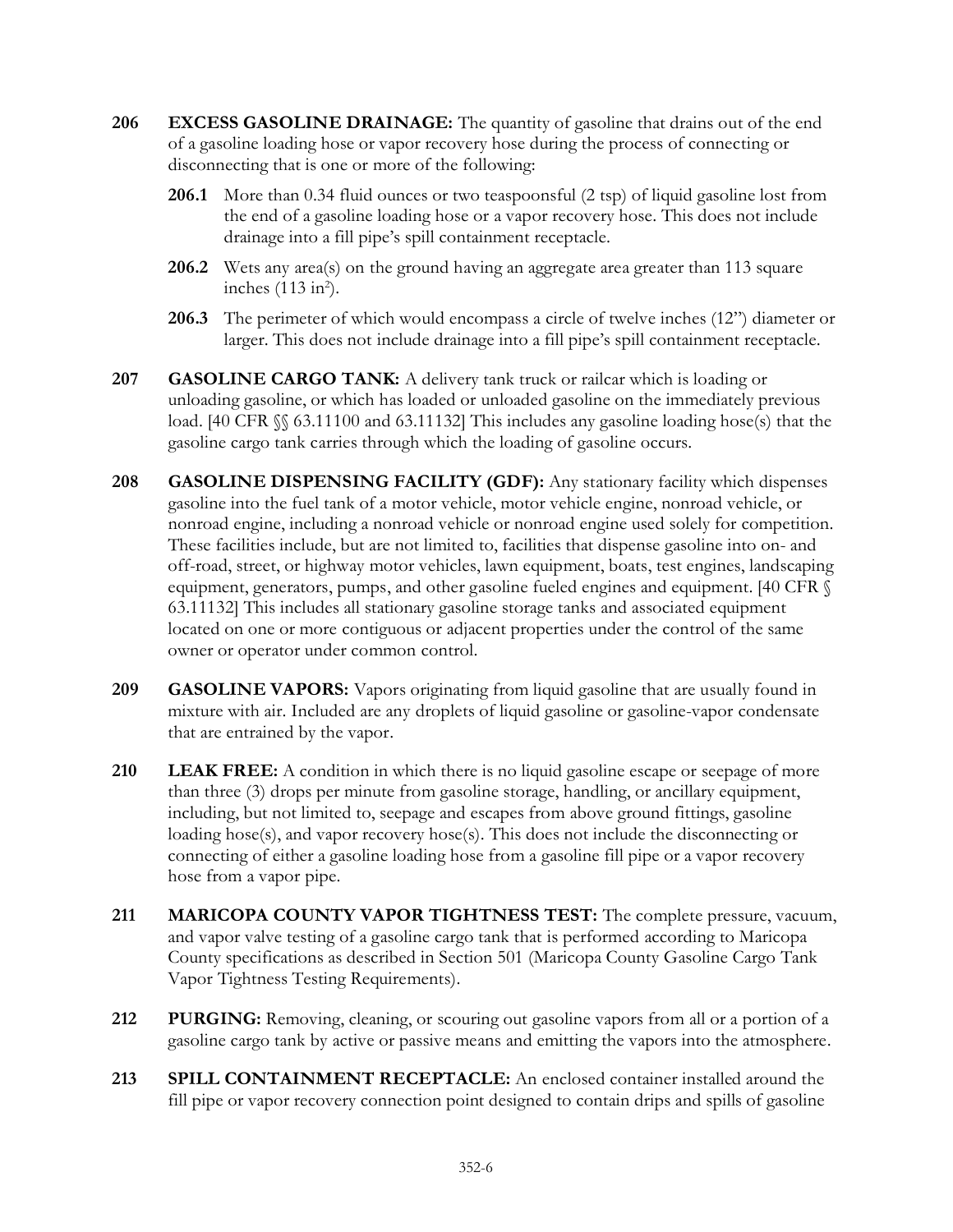- **206 EXCESS GASOLINE DRAINAGE:** The quantity of gasoline that drains out of the end of a gasoline loading hose or vapor recovery hose during the process of connecting or disconnecting that is one or more of the following:
	- **206.1** More than 0.34 fluid ounces or two teaspoonsful (2 tsp) of liquid gasoline lost from the end of a gasoline loading hose or a vapor recovery hose. This does not include drainage into a fill pipe's spill containment receptacle.
	- **206.2** Wets any area(s) on the ground having an aggregate area greater than 113 square inches  $(113 \text{ in}^2)$ .
	- **206.3** The perimeter of which would encompass a circle of twelve inches (12") diameter or larger. This does not include drainage into a fill pipe's spill containment receptacle.
- **207 GASOLINE CARGO TANK:** A delivery tank truck or railcar which is loading or unloading gasoline, or which has loaded or unloaded gasoline on the immediately previous load. [40 CFR §§ 63.11100 and 63.11132] This includes any gasoline loading hose(s) that the gasoline cargo tank carries through which the loading of gasoline occurs.
- **208 GASOLINE DISPENSING FACILITY (GDF):** Any stationary facility which dispenses gasoline into the fuel tank of a motor vehicle, motor vehicle engine, nonroad vehicle, or nonroad engine, including a nonroad vehicle or nonroad engine used solely for competition. These facilities include, but are not limited to, facilities that dispense gasoline into on- and off-road, street, or highway motor vehicles, lawn equipment, boats, test engines, landscaping equipment, generators, pumps, and other gasoline fueled engines and equipment. [40 CFR § 63.11132] This includes all stationary gasoline storage tanks and associated equipment located on one or more contiguous or adjacent properties under the control of the same owner or operator under common control.
- **209 GASOLINE VAPORS:** Vapors originating from liquid gasoline that are usually found in mixture with air. Included are any droplets of liquid gasoline or gasoline-vapor condensate that are entrained by the vapor.
- **210 LEAK FREE:** A condition in which there is no liquid gasoline escape or seepage of more than three (3) drops per minute from gasoline storage, handling, or ancillary equipment, including, but not limited to, seepage and escapes from above ground fittings, gasoline loading hose(s), and vapor recovery hose(s). This does not include the disconnecting or connecting of either a gasoline loading hose from a gasoline fill pipe or a vapor recovery hose from a vapor pipe.
- **211 MARICOPA COUNTY VAPOR TIGHTNESS TEST:** The complete pressure, vacuum, and vapor valve testing of a gasoline cargo tank that is performed according to Maricopa County specifications as described in Section 501 (Maricopa County Gasoline Cargo Tank Vapor Tightness Testing Requirements).
- **212 PURGING:** Removing, cleaning, or scouring out gasoline vapors from all or a portion of a gasoline cargo tank by active or passive means and emitting the vapors into the atmosphere.
- **213 SPILL CONTAINMENT RECEPTACLE:** An enclosed container installed around the fill pipe or vapor recovery connection point designed to contain drips and spills of gasoline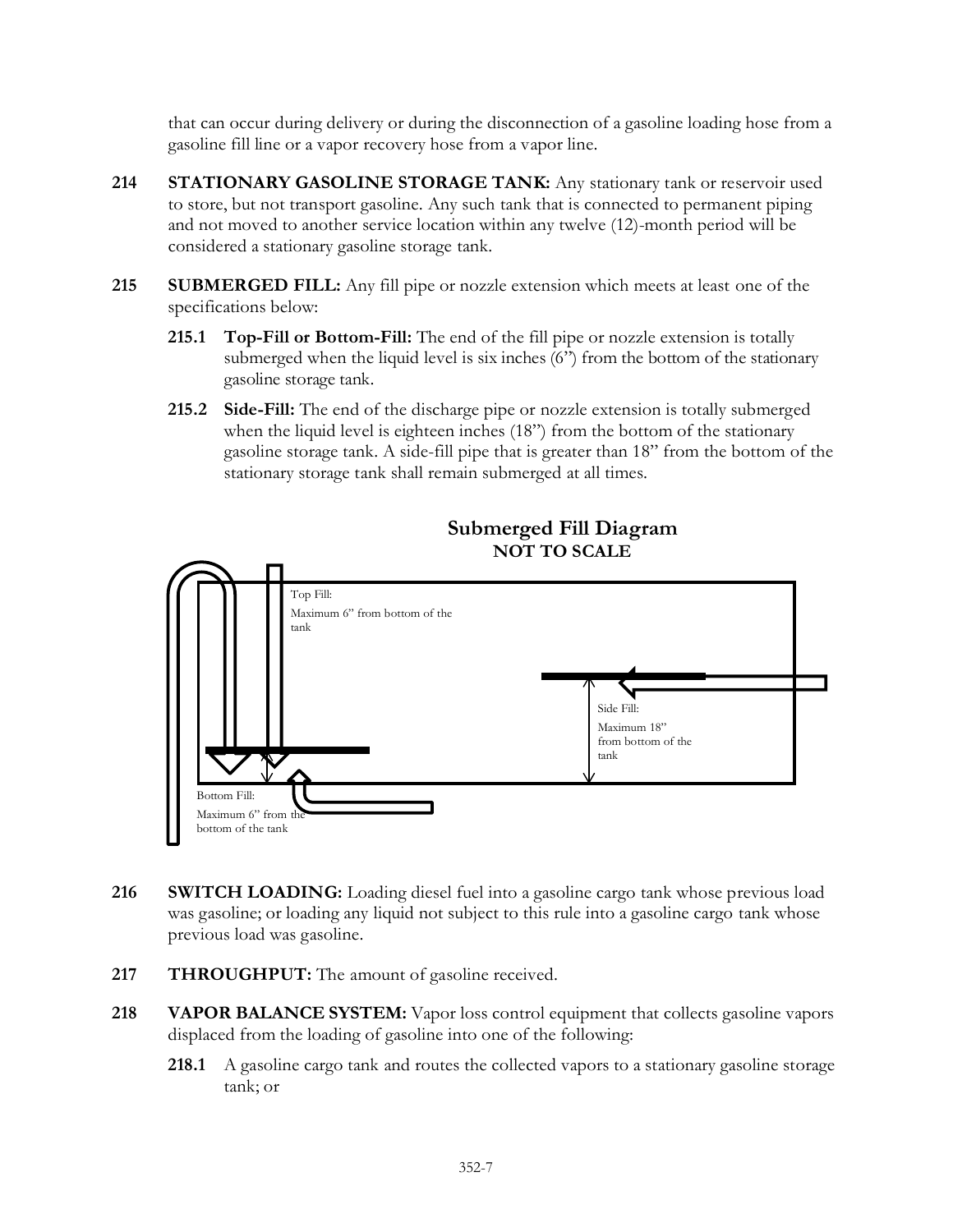that can occur during delivery or during the disconnection of a gasoline loading hose from a gasoline fill line or a vapor recovery hose from a vapor line.

- **214 STATIONARY GASOLINE STORAGE TANK:** Any stationary tank or reservoir used to store, but not transport gasoline. Any such tank that is connected to permanent piping and not moved to another service location within any twelve (12)-month period will be considered a stationary gasoline storage tank.
- **215 SUBMERGED FILL:** Any fill pipe or nozzle extension which meets at least one of the specifications below:
	- **215.1 Top-Fill or Bottom-Fill:** The end of the fill pipe or nozzle extension is totally submerged when the liquid level is six inches (6") from the bottom of the stationary gasoline storage tank.
	- **215.2 Side-Fill:** The end of the discharge pipe or nozzle extension is totally submerged when the liquid level is eighteen inches (18") from the bottom of the stationary gasoline storage tank. A side-fill pipe that is greater than 18" from the bottom of the stationary storage tank shall remain submerged at all times.



# **Submerged Fill Diagram NOT TO SCALE**

- **216 SWITCH LOADING:** Loading diesel fuel into a gasoline cargo tank whose previous load was gasoline; or loading any liquid not subject to this rule into a gasoline cargo tank whose previous load was gasoline.
- **217 THROUGHPUT:** The amount of gasoline received.
- **218 VAPOR BALANCE SYSTEM:** Vapor loss control equipment that collects gasoline vapors displaced from the loading of gasoline into one of the following:
	- **218.1** A gasoline cargo tank and routes the collected vapors to a stationary gasoline storage tank; or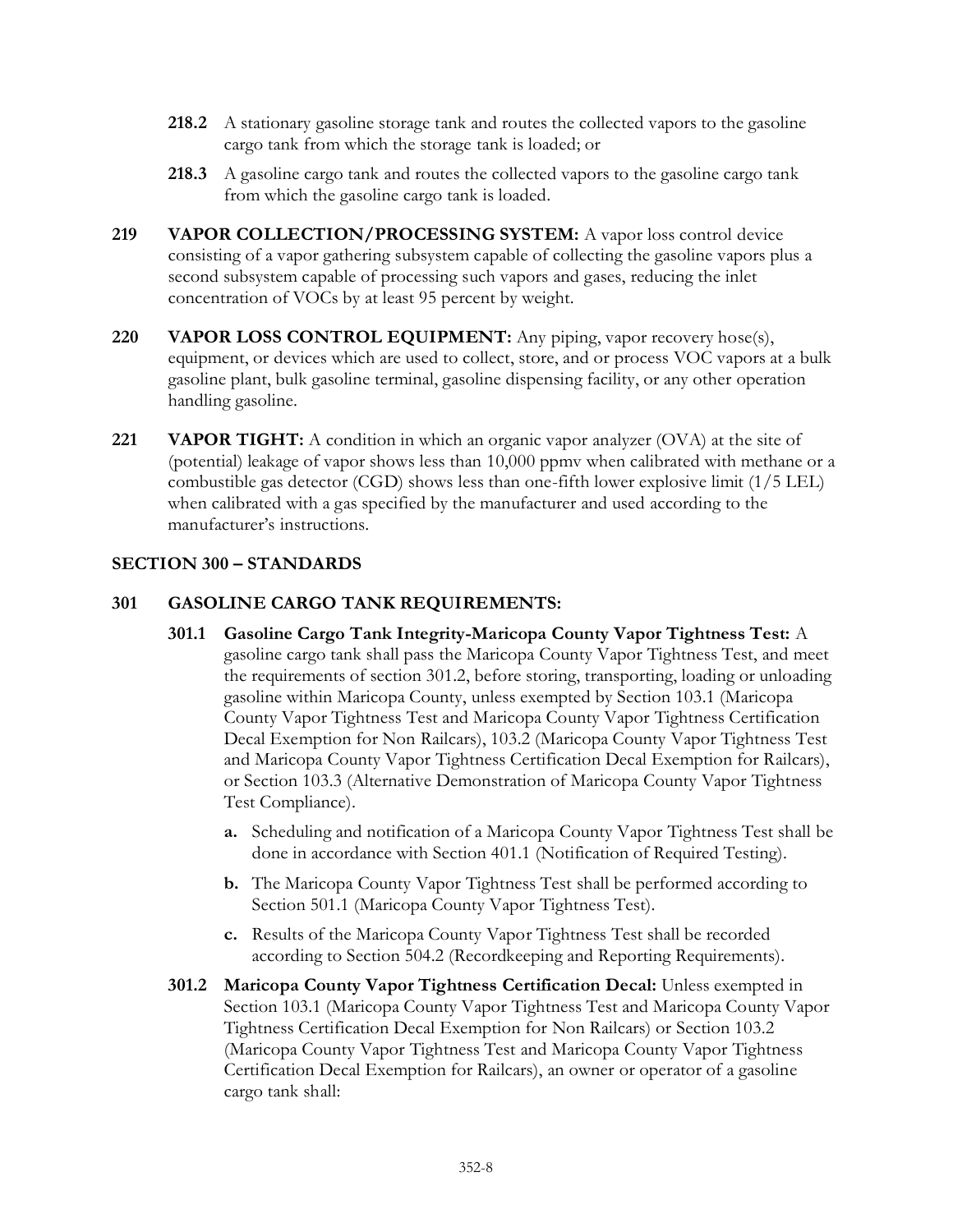- **218.2** A stationary gasoline storage tank and routes the collected vapors to the gasoline cargo tank from which the storage tank is loaded; or
- **218.3** A gasoline cargo tank and routes the collected vapors to the gasoline cargo tank from which the gasoline cargo tank is loaded.
- **219 VAPOR COLLECTION/PROCESSING SYSTEM:** A vapor loss control device consisting of a vapor gathering subsystem capable of collecting the gasoline vapors plus a second subsystem capable of processing such vapors and gases, reducing the inlet concentration of VOCs by at least 95 percent by weight.
- **220 VAPOR LOSS CONTROL EQUIPMENT:** Any piping, vapor recovery hose(s), equipment, or devices which are used to collect, store, and or process VOC vapors at a bulk gasoline plant, bulk gasoline terminal, gasoline dispensing facility, or any other operation handling gasoline.
- **221 VAPOR TIGHT:** A condition in which an organic vapor analyzer (OVA) at the site of (potential) leakage of vapor shows less than 10,000 ppmv when calibrated with methane or a combustible gas detector (CGD) shows less than one-fifth lower explosive limit (1/5 LEL) when calibrated with a gas specified by the manufacturer and used according to the manufacturer's instructions.

# **SECTION 300 – STANDARDS**

# **301 GASOLINE CARGO TANK REQUIREMENTS:**

- **301.1 Gasoline Cargo Tank Integrity-Maricopa County Vapor Tightness Test:** A gasoline cargo tank shall pass the Maricopa County Vapor Tightness Test, and meet the requirements of section 301.2, before storing, transporting, loading or unloading gasoline within Maricopa County, unless exempted by Section 103.1 (Maricopa County Vapor Tightness Test and Maricopa County Vapor Tightness Certification Decal Exemption for Non Railcars), 103.2 (Maricopa County Vapor Tightness Test and Maricopa County Vapor Tightness Certification Decal Exemption for Railcars), or Section 103.3 (Alternative Demonstration of Maricopa County Vapor Tightness Test Compliance).
	- **a.** Scheduling and notification of a Maricopa County Vapor Tightness Test shall be done in accordance with Section 401.1 (Notification of Required Testing).
	- **b.** The Maricopa County Vapor Tightness Test shall be performed according to Section 501.1 (Maricopa County Vapor Tightness Test).
	- **c.** Results of the Maricopa County Vapor Tightness Test shall be recorded according to Section 504.2 (Recordkeeping and Reporting Requirements).
- **301.2 Maricopa County Vapor Tightness Certification Decal:** Unless exempted in Section 103.1 (Maricopa County Vapor Tightness Test and Maricopa County Vapor Tightness Certification Decal Exemption for Non Railcars) or Section 103.2 (Maricopa County Vapor Tightness Test and Maricopa County Vapor Tightness Certification Decal Exemption for Railcars), an owner or operator of a gasoline cargo tank shall: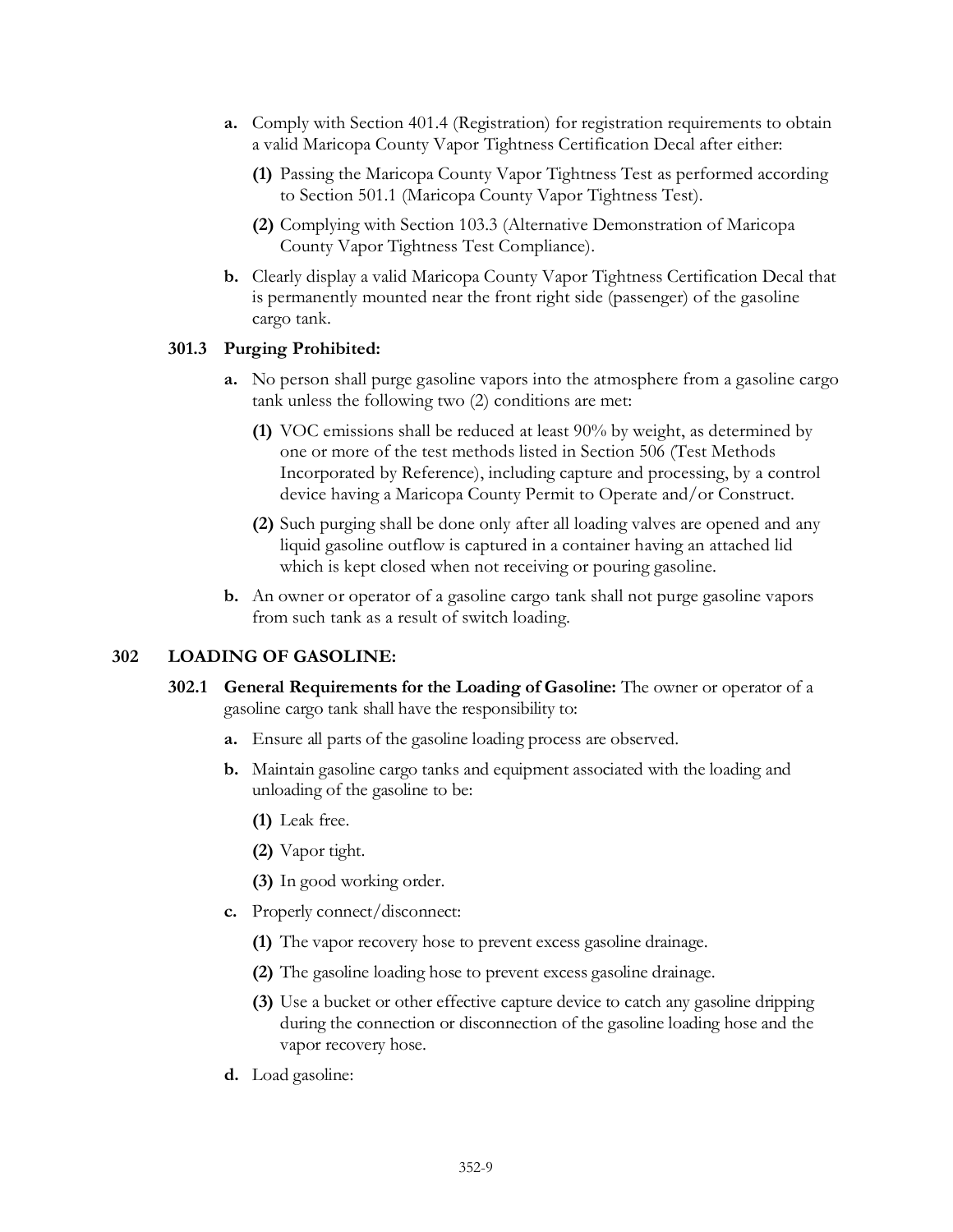- **a.** Comply with Section 401.4 (Registration) for registration requirements to obtain a valid Maricopa County Vapor Tightness Certification Decal after either:
	- **(1)** Passing the Maricopa County Vapor Tightness Test as performed according to Section 501.1 (Maricopa County Vapor Tightness Test).
	- **(2)** Complying with Section 103.3 (Alternative Demonstration of Maricopa County Vapor Tightness Test Compliance).
- **b.** Clearly display a valid Maricopa County Vapor Tightness Certification Decal that is permanently mounted near the front right side (passenger) of the gasoline cargo tank.

#### **301.3 Purging Prohibited:**

- **a.** No person shall purge gasoline vapors into the atmosphere from a gasoline cargo tank unless the following two (2) conditions are met:
	- **(1)** VOC emissions shall be reduced at least 90% by weight, as determined by one or more of the test methods listed in Section 506 (Test Methods Incorporated by Reference), including capture and processing, by a control device having a Maricopa County Permit to Operate and/or Construct.
	- **(2)** Such purging shall be done only after all loading valves are opened and any liquid gasoline outflow is captured in a container having an attached lid which is kept closed when not receiving or pouring gasoline.
- **b.** An owner or operator of a gasoline cargo tank shall not purge gasoline vapors from such tank as a result of switch loading.

#### **302 LOADING OF GASOLINE:**

- **302.1 General Requirements for the Loading of Gasoline:** The owner or operator of a gasoline cargo tank shall have the responsibility to:
	- **a.** Ensure all parts of the gasoline loading process are observed.
	- **b.** Maintain gasoline cargo tanks and equipment associated with the loading and unloading of the gasoline to be:
		- **(1)** Leak free.
		- **(2)** Vapor tight.
		- **(3)** In good working order.
	- **c.** Properly connect/disconnect:
		- **(1)** The vapor recovery hose to prevent excess gasoline drainage.
		- **(2)** The gasoline loading hose to prevent excess gasoline drainage.
		- **(3)** Use a bucket or other effective capture device to catch any gasoline dripping during the connection or disconnection of the gasoline loading hose and the vapor recovery hose.
	- **d.** Load gasoline: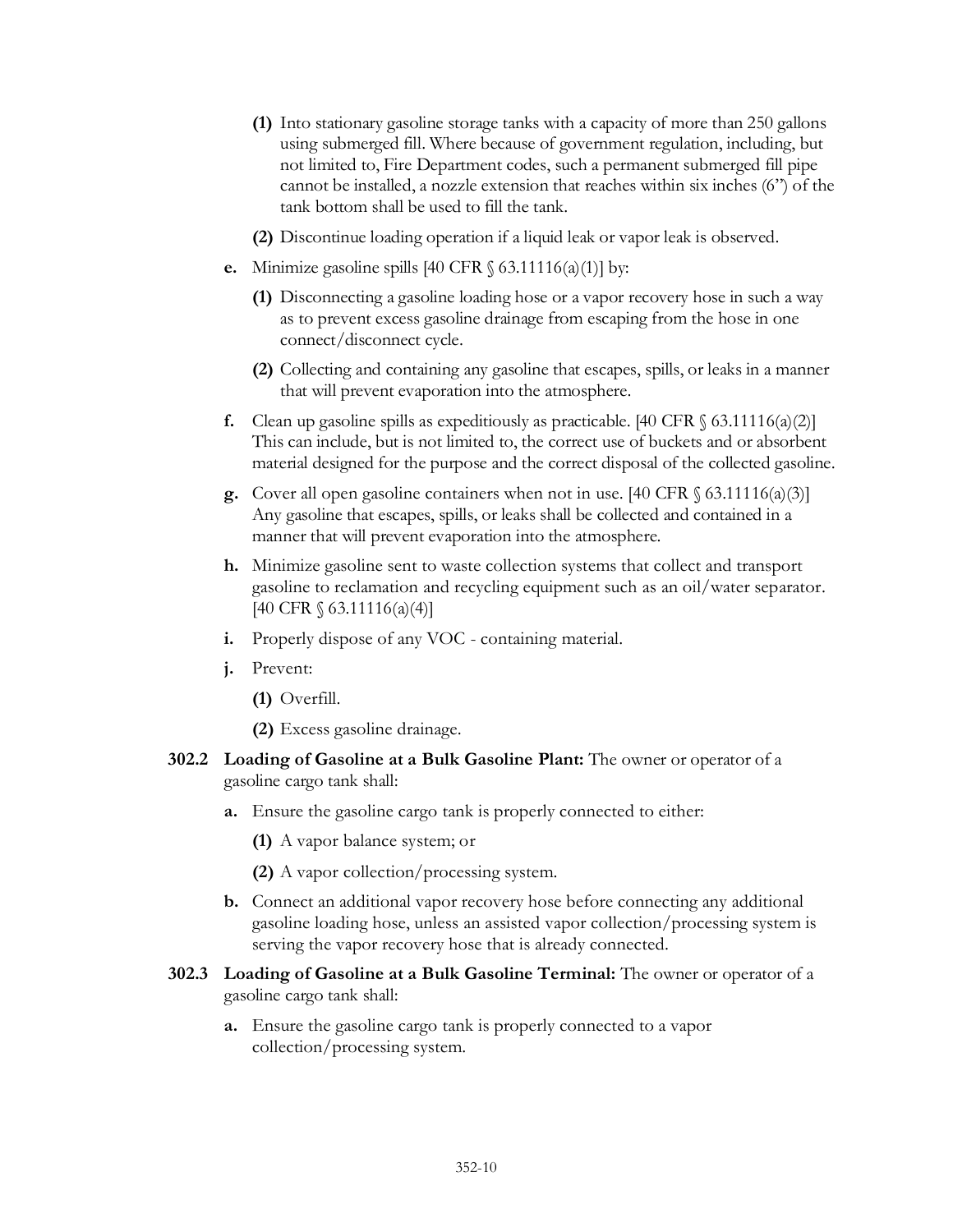- **(1)** Into stationary gasoline storage tanks with a capacity of more than 250 gallons using submerged fill. Where because of government regulation, including, but not limited to, Fire Department codes, such a permanent submerged fill pipe cannot be installed, a nozzle extension that reaches within six inches (6") of the tank bottom shall be used to fill the tank.
- **(2)** Discontinue loading operation if a liquid leak or vapor leak is observed.
- **e.** Minimize gasoline spills  $[40 \text{ CFR } \S 63.11116(a)(1)]$  by:
	- **(1)** Disconnecting a gasoline loading hose or a vapor recovery hose in such a way as to prevent excess gasoline drainage from escaping from the hose in one connect/disconnect cycle.
	- **(2)** Collecting and containing any gasoline that escapes, spills, or leaks in a manner that will prevent evaporation into the atmosphere.
- **f.** Clean up gasoline spills as expeditiously as practicable. [40 CFR  $\S$  63.11116(a)(2)] This can include, but is not limited to, the correct use of buckets and or absorbent material designed for the purpose and the correct disposal of the collected gasoline.
- **g.** Cover all open gasoline containers when not in use.  $[40 \text{ CFR } \delta \cdot 63.11116(a) \cdot 3]$ Any gasoline that escapes, spills, or leaks shall be collected and contained in a manner that will prevent evaporation into the atmosphere.
- **h.** Minimize gasoline sent to waste collection systems that collect and transport gasoline to reclamation and recycling equipment such as an oil/water separator. [40 CFR § 63.11116(a)(4)]
- **i.** Properly dispose of any VOC containing material.
- **j.** Prevent:
	- **(1)** Overfill.
	- **(2)** Excess gasoline drainage.
- **302.2 Loading of Gasoline at a Bulk Gasoline Plant:** The owner or operator of a gasoline cargo tank shall:
	- **a.** Ensure the gasoline cargo tank is properly connected to either:
		- **(1)** A vapor balance system; or
		- **(2)** A vapor collection/processing system.
	- **b.** Connect an additional vapor recovery hose before connecting any additional gasoline loading hose, unless an assisted vapor collection/processing system is serving the vapor recovery hose that is already connected.
- **302.3 Loading of Gasoline at a Bulk Gasoline Terminal:** The owner or operator of a gasoline cargo tank shall:
	- **a.** Ensure the gasoline cargo tank is properly connected to a vapor collection/processing system.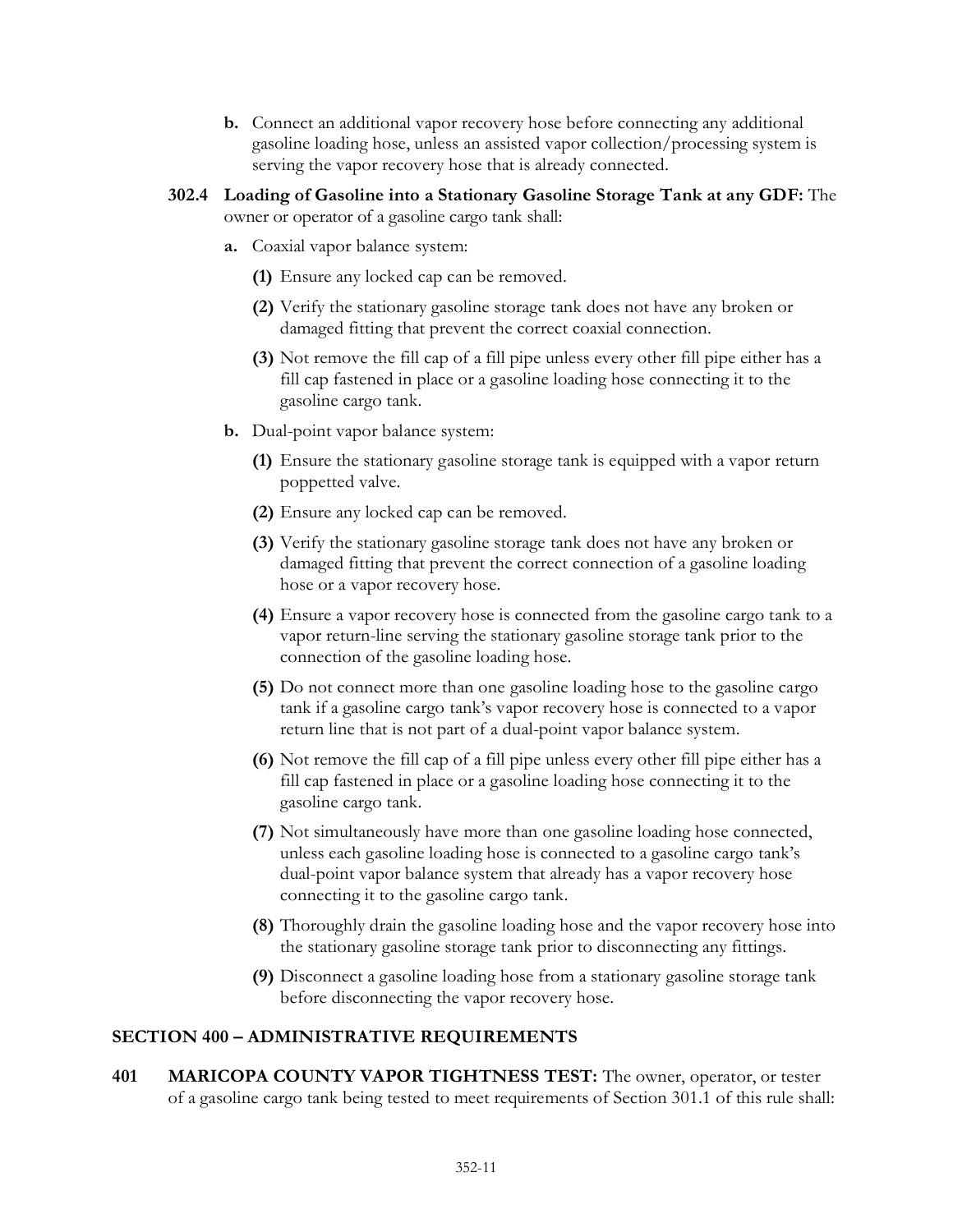- **b.** Connect an additional vapor recovery hose before connecting any additional gasoline loading hose, unless an assisted vapor collection/processing system is serving the vapor recovery hose that is already connected.
- **302.4 Loading of Gasoline into a Stationary Gasoline Storage Tank at any GDF:** The owner or operator of a gasoline cargo tank shall:
	- **a.** Coaxial vapor balance system:
		- **(1)** Ensure any locked cap can be removed.
		- **(2)** Verify the stationary gasoline storage tank does not have any broken or damaged fitting that prevent the correct coaxial connection.
		- **(3)** Not remove the fill cap of a fill pipe unless every other fill pipe either has a fill cap fastened in place or a gasoline loading hose connecting it to the gasoline cargo tank.
	- **b.** Dual-point vapor balance system:
		- **(1)** Ensure the stationary gasoline storage tank is equipped with a vapor return poppetted valve.
		- **(2)** Ensure any locked cap can be removed.
		- **(3)** Verify the stationary gasoline storage tank does not have any broken or damaged fitting that prevent the correct connection of a gasoline loading hose or a vapor recovery hose.
		- **(4)** Ensure a vapor recovery hose is connected from the gasoline cargo tank to a vapor return-line serving the stationary gasoline storage tank prior to the connection of the gasoline loading hose.
		- **(5)** Do not connect more than one gasoline loading hose to the gasoline cargo tank if a gasoline cargo tank's vapor recovery hose is connected to a vapor return line that is not part of a dual-point vapor balance system.
		- **(6)** Not remove the fill cap of a fill pipe unless every other fill pipe either has a fill cap fastened in place or a gasoline loading hose connecting it to the gasoline cargo tank.
		- **(7)** Not simultaneously have more than one gasoline loading hose connected, unless each gasoline loading hose is connected to a gasoline cargo tank's dual-point vapor balance system that already has a vapor recovery hose connecting it to the gasoline cargo tank.
		- **(8)** Thoroughly drain the gasoline loading hose and the vapor recovery hose into the stationary gasoline storage tank prior to disconnecting any fittings.
		- **(9)** Disconnect a gasoline loading hose from a stationary gasoline storage tank before disconnecting the vapor recovery hose.

#### **SECTION 400 – ADMINISTRATIVE REQUIREMENTS**

**401 MARICOPA COUNTY VAPOR TIGHTNESS TEST:** The owner, operator, or tester of a gasoline cargo tank being tested to meet requirements of Section 301.1 of this rule shall: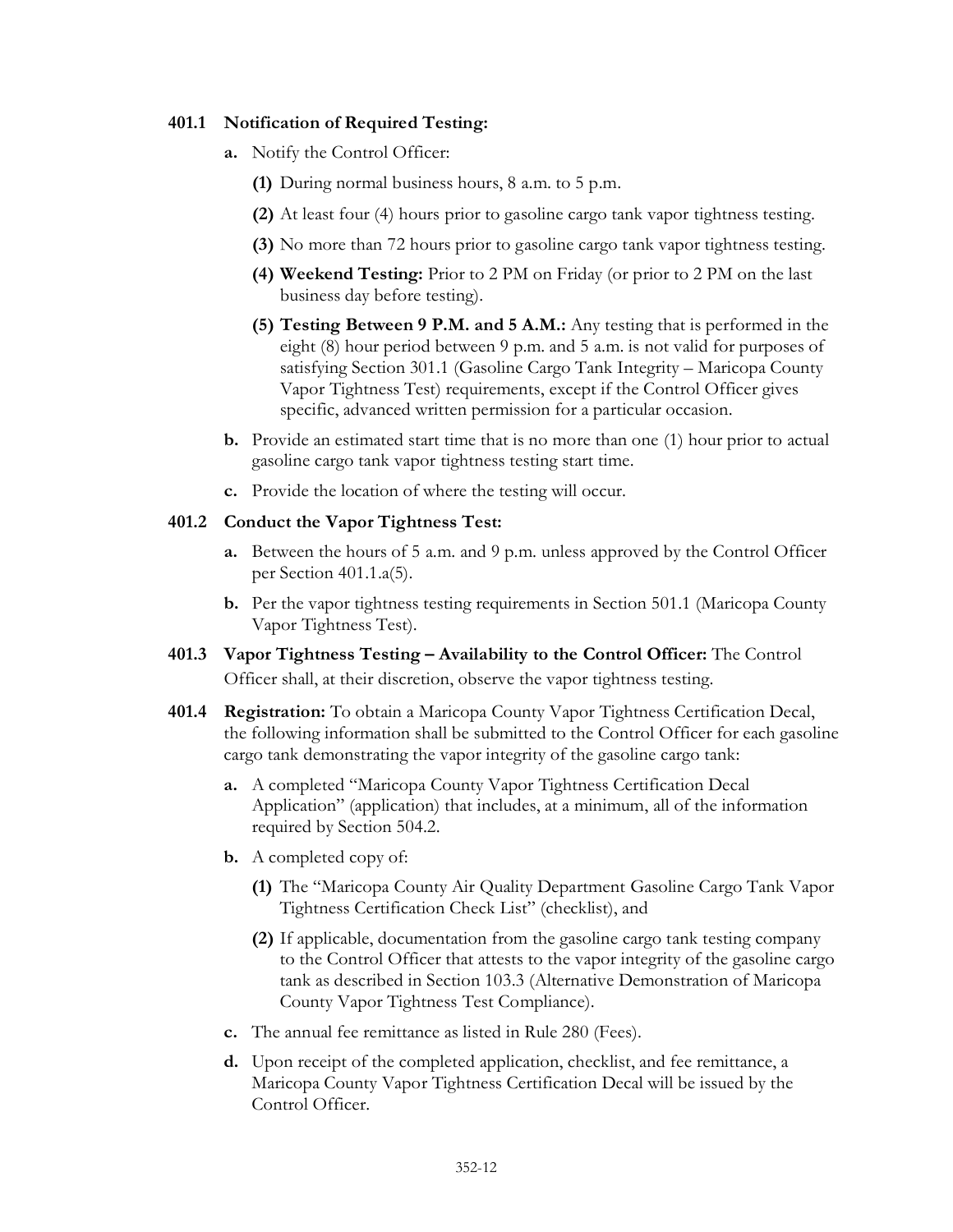### **401.1 Notification of Required Testing:**

- **a.** Notify the Control Officer:
	- **(1)** During normal business hours, 8 a.m. to 5 p.m.
	- **(2)** At least four (4) hours prior to gasoline cargo tank vapor tightness testing.
	- **(3)** No more than 72 hours prior to gasoline cargo tank vapor tightness testing.
	- **(4) Weekend Testing:** Prior to 2 PM on Friday (or prior to 2 PM on the last business day before testing).
	- **(5) Testing Between 9 P.M. and 5 A.M.:** Any testing that is performed in the eight (8) hour period between 9 p.m. and 5 a.m. is not valid for purposes of satisfying Section 301.1 (Gasoline Cargo Tank Integrity – Maricopa County Vapor Tightness Test) requirements, except if the Control Officer gives specific, advanced written permission for a particular occasion.
- **b.** Provide an estimated start time that is no more than one (1) hour prior to actual gasoline cargo tank vapor tightness testing start time.
- **c.** Provide the location of where the testing will occur.

### **401.2 Conduct the Vapor Tightness Test:**

- **a.** Between the hours of 5 a.m. and 9 p.m. unless approved by the Control Officer per Section 401.1.a(5).
- **b.** Per the vapor tightness testing requirements in Section 501.1 (Maricopa County Vapor Tightness Test).
- **401.3 Vapor Tightness Testing – Availability to the Control Officer:** The Control Officer shall, at their discretion, observe the vapor tightness testing.
- **401.4 Registration:** To obtain a Maricopa County Vapor Tightness Certification Decal, the following information shall be submitted to the Control Officer for each gasoline cargo tank demonstrating the vapor integrity of the gasoline cargo tank:
	- **a.** A completed "Maricopa County Vapor Tightness Certification Decal Application" (application) that includes, at a minimum, all of the information required by Section 504.2.
	- **b.** A completed copy of:
		- **(1)** The "Maricopa County Air Quality Department Gasoline Cargo Tank Vapor Tightness Certification Check List" (checklist), and
		- **(2)** If applicable, documentation from the gasoline cargo tank testing company to the Control Officer that attests to the vapor integrity of the gasoline cargo tank as described in Section 103.3 (Alternative Demonstration of Maricopa County Vapor Tightness Test Compliance).
	- **c.** The annual fee remittance as listed in Rule 280 (Fees).
	- **d.** Upon receipt of the completed application, checklist, and fee remittance, a Maricopa County Vapor Tightness Certification Decal will be issued by the Control Officer.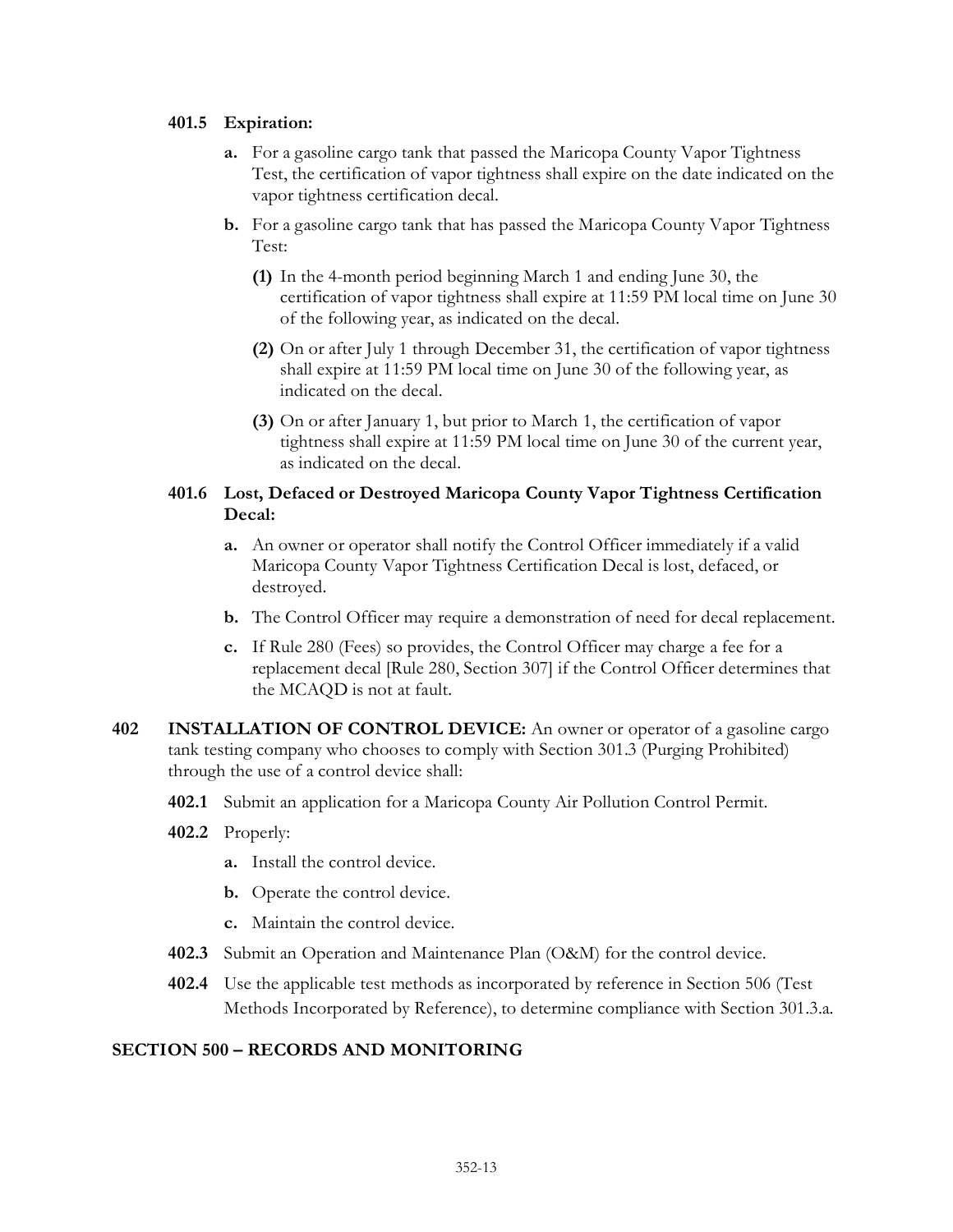### **401.5 Expiration:**

- **a.** For a gasoline cargo tank that passed the Maricopa County Vapor Tightness Test, the certification of vapor tightness shall expire on the date indicated on the vapor tightness certification decal.
- **b.** For a gasoline cargo tank that has passed the Maricopa County Vapor Tightness Test:
	- **(1)** In the 4-month period beginning March 1 and ending June 30, the certification of vapor tightness shall expire at 11:59 PM local time on June 30 of the following year, as indicated on the decal.
	- **(2)** On or after July 1 through December 31, the certification of vapor tightness shall expire at 11:59 PM local time on June 30 of the following year, as indicated on the decal.
	- **(3)** On or after January 1, but prior to March 1, the certification of vapor tightness shall expire at 11:59 PM local time on June 30 of the current year, as indicated on the decal.

### **401.6 Lost, Defaced or Destroyed Maricopa County Vapor Tightness Certification Decal:**

- **a.** An owner or operator shall notify the Control Officer immediately if a valid Maricopa County Vapor Tightness Certification Decal is lost, defaced, or destroyed.
- **b.** The Control Officer may require a demonstration of need for decal replacement.
- **c.** If Rule 280 (Fees) so provides, the Control Officer may charge a fee for a replacement decal [Rule 280, Section 307] if the Control Officer determines that the MCAQD is not at fault.
- **402 INSTALLATION OF CONTROL DEVICE:** An owner or operator of a gasoline cargo tank testing company who chooses to comply with Section 301.3 (Purging Prohibited) through the use of a control device shall:
	- **402.1** Submit an application for a Maricopa County Air Pollution Control Permit.
	- **402.2** Properly:
		- **a.** Install the control device.
		- **b.** Operate the control device.
		- **c.** Maintain the control device.
	- **402.3** Submit an Operation and Maintenance Plan (O&M) for the control device.
	- **402.4** Use the applicable test methods as incorporated by reference in Section 506 (Test Methods Incorporated by Reference), to determine compliance with Section 301.3.a.

#### **SECTION 500 – RECORDS AND MONITORING**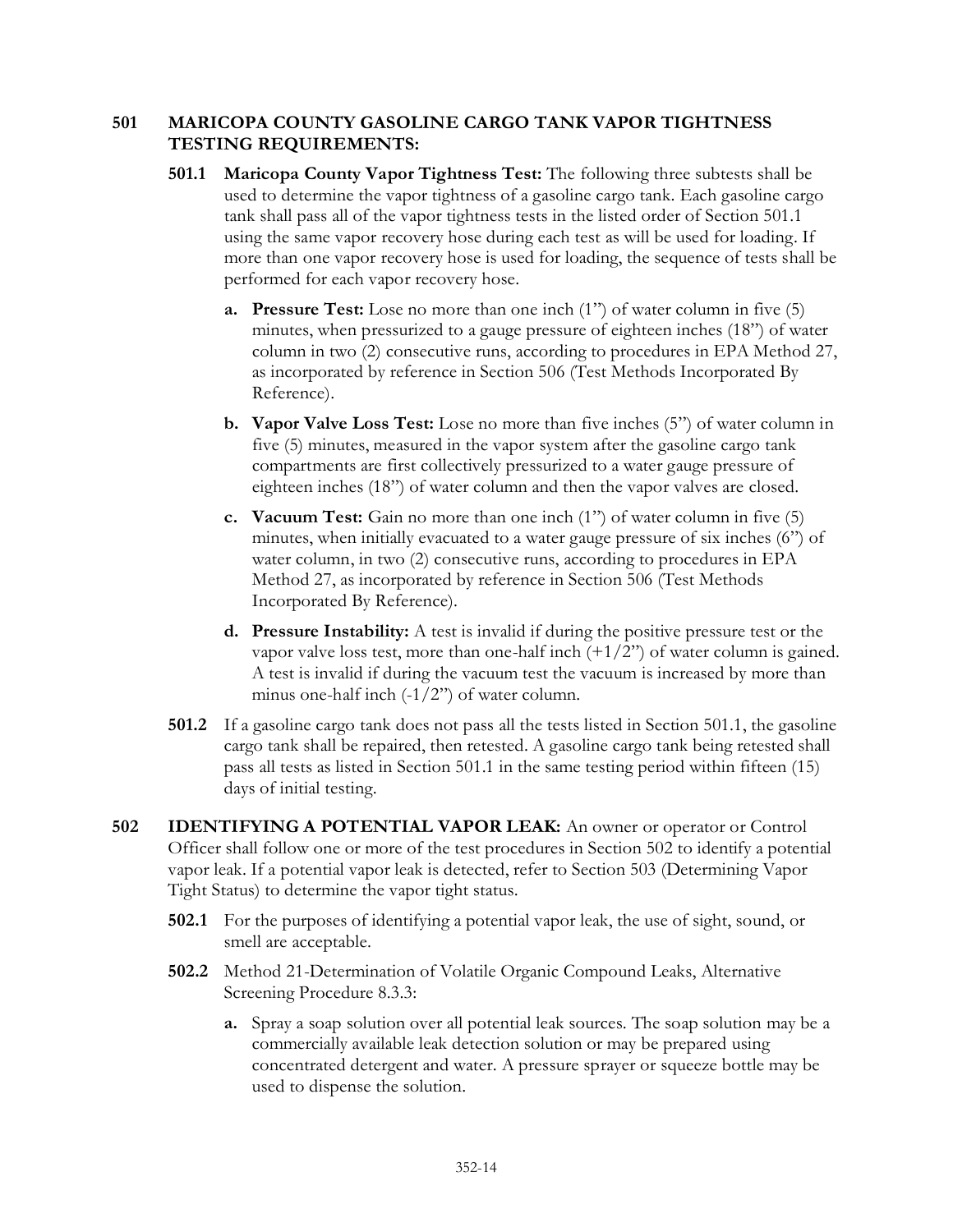# **501 MARICOPA COUNTY GASOLINE CARGO TANK VAPOR TIGHTNESS TESTING REQUIREMENTS:**

- **501.1 Maricopa County Vapor Tightness Test:** The following three subtests shall be used to determine the vapor tightness of a gasoline cargo tank. Each gasoline cargo tank shall pass all of the vapor tightness tests in the listed order of Section 501.1 using the same vapor recovery hose during each test as will be used for loading. If more than one vapor recovery hose is used for loading, the sequence of tests shall be performed for each vapor recovery hose.
	- **a. Pressure Test:** Lose no more than one inch (1") of water column in five (5) minutes, when pressurized to a gauge pressure of eighteen inches (18") of water column in two (2) consecutive runs, according to procedures in EPA Method 27, as incorporated by reference in Section 506 (Test Methods Incorporated By Reference).
	- **b. Vapor Valve Loss Test:** Lose no more than five inches (5") of water column in five (5) minutes, measured in the vapor system after the gasoline cargo tank compartments are first collectively pressurized to a water gauge pressure of eighteen inches (18") of water column and then the vapor valves are closed.
	- **c. Vacuum Test:** Gain no more than one inch (1") of water column in five (5) minutes, when initially evacuated to a water gauge pressure of six inches (6") of water column, in two (2) consecutive runs, according to procedures in EPA Method 27, as incorporated by reference in Section 506 (Test Methods Incorporated By Reference).
	- **d. Pressure Instability:** A test is invalid if during the positive pressure test or the vapor valve loss test, more than one-half inch  $(+1/2)$ " of water column is gained. A test is invalid if during the vacuum test the vacuum is increased by more than minus one-half inch  $(-1/2)$ " of water column.
- **501.2** If a gasoline cargo tank does not pass all the tests listed in Section 501.1, the gasoline cargo tank shall be repaired, then retested. A gasoline cargo tank being retested shall pass all tests as listed in Section 501.1 in the same testing period within fifteen (15) days of initial testing.
- **502 IDENTIFYING A POTENTIAL VAPOR LEAK:** An owner or operator or Control Officer shall follow one or more of the test procedures in Section 502 to identify a potential vapor leak. If a potential vapor leak is detected, refer to Section 503 (Determining Vapor Tight Status) to determine the vapor tight status.
	- **502.1** For the purposes of identifying a potential vapor leak, the use of sight, sound, or smell are acceptable.
	- **502.2** Method 21-Determination of Volatile Organic Compound Leaks, Alternative Screening Procedure 8.3.3:
		- **a.** Spray a soap solution over all potential leak sources. The soap solution may be a commercially available leak detection solution or may be prepared using concentrated detergent and water. A pressure sprayer or squeeze bottle may be used to dispense the solution.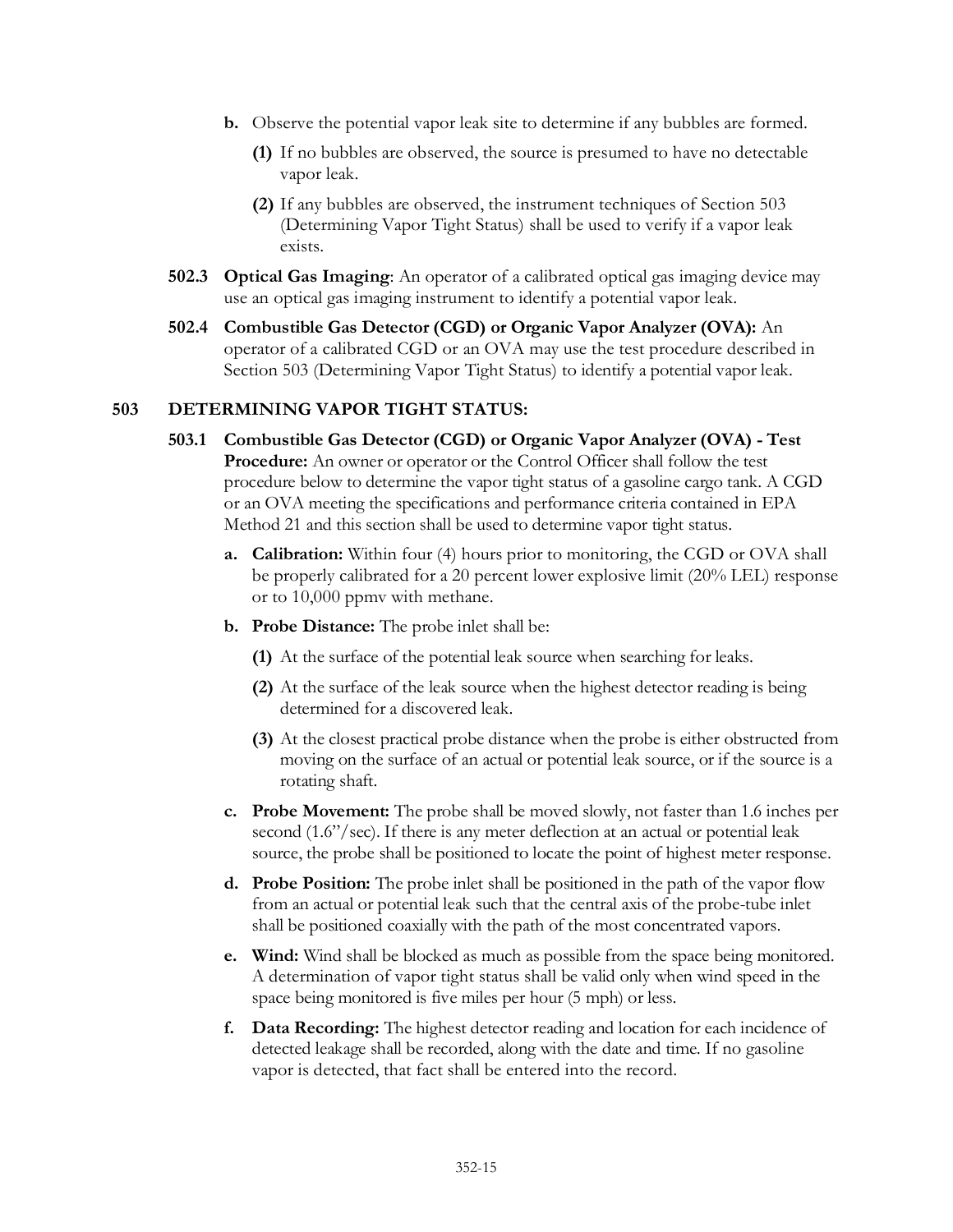- **b.** Observe the potential vapor leak site to determine if any bubbles are formed.
	- **(1)** If no bubbles are observed, the source is presumed to have no detectable vapor leak.
	- **(2)** If any bubbles are observed, the instrument techniques of Section 503 (Determining Vapor Tight Status) shall be used to verify if a vapor leak exists.
- **502.3 Optical Gas Imaging**: An operator of a calibrated optical gas imaging device may use an optical gas imaging instrument to identify a potential vapor leak.
- **502.4 Combustible Gas Detector (CGD) or Organic Vapor Analyzer (OVA):** An operator of a calibrated CGD or an OVA may use the test procedure described in Section 503 (Determining Vapor Tight Status) to identify a potential vapor leak.

### **503 DETERMINING VAPOR TIGHT STATUS:**

- **503.1 Combustible Gas Detector (CGD) or Organic Vapor Analyzer (OVA) - Test Procedure:** An owner or operator or the Control Officer shall follow the test procedure below to determine the vapor tight status of a gasoline cargo tank. A CGD or an OVA meeting the specifications and performance criteria contained in EPA Method 21 and this section shall be used to determine vapor tight status.
	- **a. Calibration:** Within four (4) hours prior to monitoring, the CGD or OVA shall be properly calibrated for a 20 percent lower explosive limit (20% LEL) response or to 10,000 ppmv with methane.
	- **b. Probe Distance:** The probe inlet shall be:
		- **(1)** At the surface of the potential leak source when searching for leaks.
		- **(2)** At the surface of the leak source when the highest detector reading is being determined for a discovered leak.
		- **(3)** At the closest practical probe distance when the probe is either obstructed from moving on the surface of an actual or potential leak source, or if the source is a rotating shaft.
	- **c. Probe Movement:** The probe shall be moved slowly, not faster than 1.6 inches per second (1.6"/sec). If there is any meter deflection at an actual or potential leak source, the probe shall be positioned to locate the point of highest meter response.
	- **d. Probe Position:** The probe inlet shall be positioned in the path of the vapor flow from an actual or potential leak such that the central axis of the probe-tube inlet shall be positioned coaxially with the path of the most concentrated vapors.
	- **e. Wind:** Wind shall be blocked as much as possible from the space being monitored. A determination of vapor tight status shall be valid only when wind speed in the space being monitored is five miles per hour (5 mph) or less.
	- **f. Data Recording:** The highest detector reading and location for each incidence of detected leakage shall be recorded, along with the date and time. If no gasoline vapor is detected, that fact shall be entered into the record.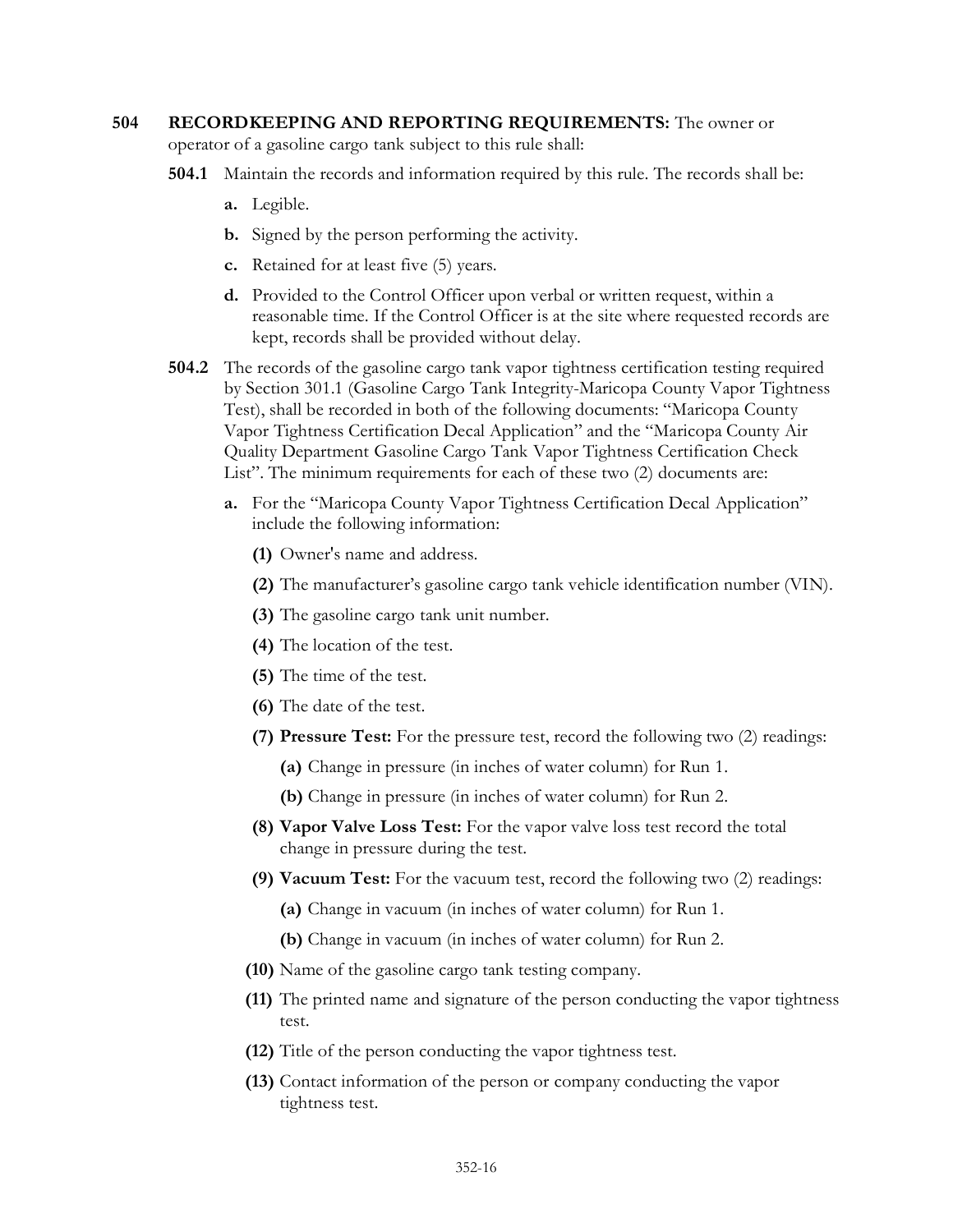# **504 RECORDKEEPING AND REPORTING REQUIREMENTS:** The owner or operator of a gasoline cargo tank subject to this rule shall:

- **504.1** Maintain the records and information required by this rule. The records shall be:
	- **a.** Legible.
	- **b.** Signed by the person performing the activity.
	- **c.** Retained for at least five (5) years.
	- **d.** Provided to the Control Officer upon verbal or written request, within a reasonable time. If the Control Officer is at the site where requested records are kept, records shall be provided without delay.
- **504.2** The records of the gasoline cargo tank vapor tightness certification testing required by Section 301.1 (Gasoline Cargo Tank Integrity-Maricopa County Vapor Tightness Test), shall be recorded in both of the following documents: "Maricopa County Vapor Tightness Certification Decal Application" and the "Maricopa County Air Quality Department Gasoline Cargo Tank Vapor Tightness Certification Check List". The minimum requirements for each of these two (2) documents are:
	- **a.** For the "Maricopa County Vapor Tightness Certification Decal Application" include the following information:
		- **(1)** Owner's name and address.
		- **(2)** The manufacturer's gasoline cargo tank vehicle identification number (VIN).
		- **(3)** The gasoline cargo tank unit number.
		- **(4)** The location of the test.
		- **(5)** The time of the test.
		- **(6)** The date of the test.
		- **(7) Pressure Test:** For the pressure test, record the following two (2) readings:
			- **(a)** Change in pressure (in inches of water column) for Run 1.
			- **(b)** Change in pressure (in inches of water column) for Run 2.
		- **(8) Vapor Valve Loss Test:** For the vapor valve loss test record the total change in pressure during the test.
		- **(9) Vacuum Test:** For the vacuum test, record the following two (2) readings:
			- **(a)** Change in vacuum (in inches of water column) for Run 1.
			- **(b)** Change in vacuum (in inches of water column) for Run 2.
		- **(10)** Name of the gasoline cargo tank testing company.
		- **(11)** The printed name and signature of the person conducting the vapor tightness test.
		- **(12)** Title of the person conducting the vapor tightness test.
		- **(13)** Contact information of the person or company conducting the vapor tightness test.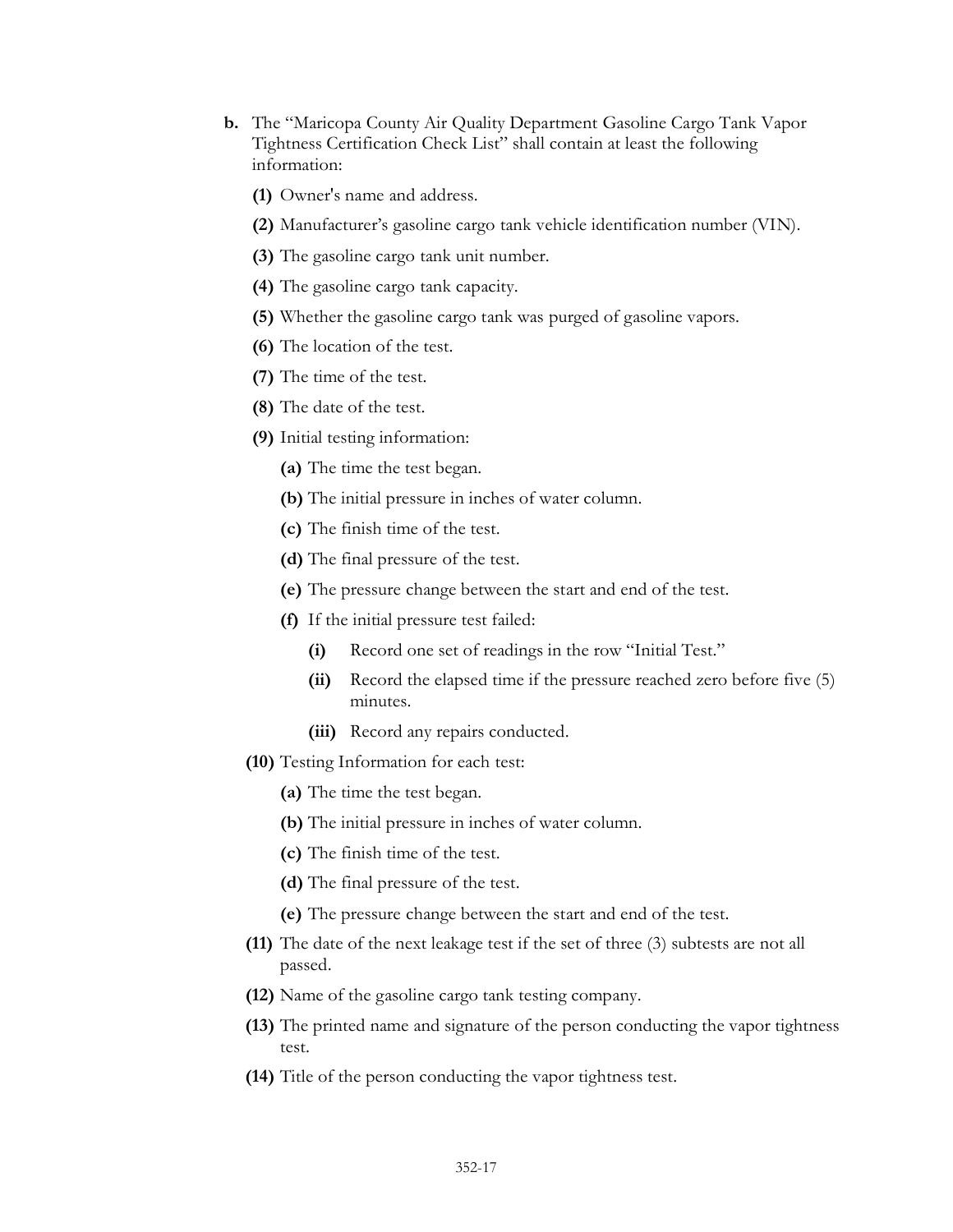- **b.** The "Maricopa County Air Quality Department Gasoline Cargo Tank Vapor Tightness Certification Check List" shall contain at least the following information:
	- **(1)** Owner's name and address.
	- **(2)** Manufacturer's gasoline cargo tank vehicle identification number (VIN).
	- **(3)** The gasoline cargo tank unit number.
	- **(4)** The gasoline cargo tank capacity.
	- **(5)** Whether the gasoline cargo tank was purged of gasoline vapors.
	- **(6)** The location of the test.
	- **(7)** The time of the test.
	- **(8)** The date of the test.
	- **(9)** Initial testing information:
		- **(a)** The time the test began.
		- **(b)** The initial pressure in inches of water column.
		- **(c)** The finish time of the test.
		- **(d)** The final pressure of the test.
		- **(e)** The pressure change between the start and end of the test.
		- **(f)** If the initial pressure test failed:
			- **(i)** Record one set of readings in the row "Initial Test."
			- **(ii)** Record the elapsed time if the pressure reached zero before five (5) minutes.
			- **(iii)** Record any repairs conducted.
	- **(10)** Testing Information for each test:
		- **(a)** The time the test began.
		- **(b)** The initial pressure in inches of water column.
		- **(c)** The finish time of the test.
		- **(d)** The final pressure of the test.
		- **(e)** The pressure change between the start and end of the test.
	- **(11)** The date of the next leakage test if the set of three (3) subtests are not all passed.
	- **(12)** Name of the gasoline cargo tank testing company.
	- **(13)** The printed name and signature of the person conducting the vapor tightness test.
	- **(14)** Title of the person conducting the vapor tightness test.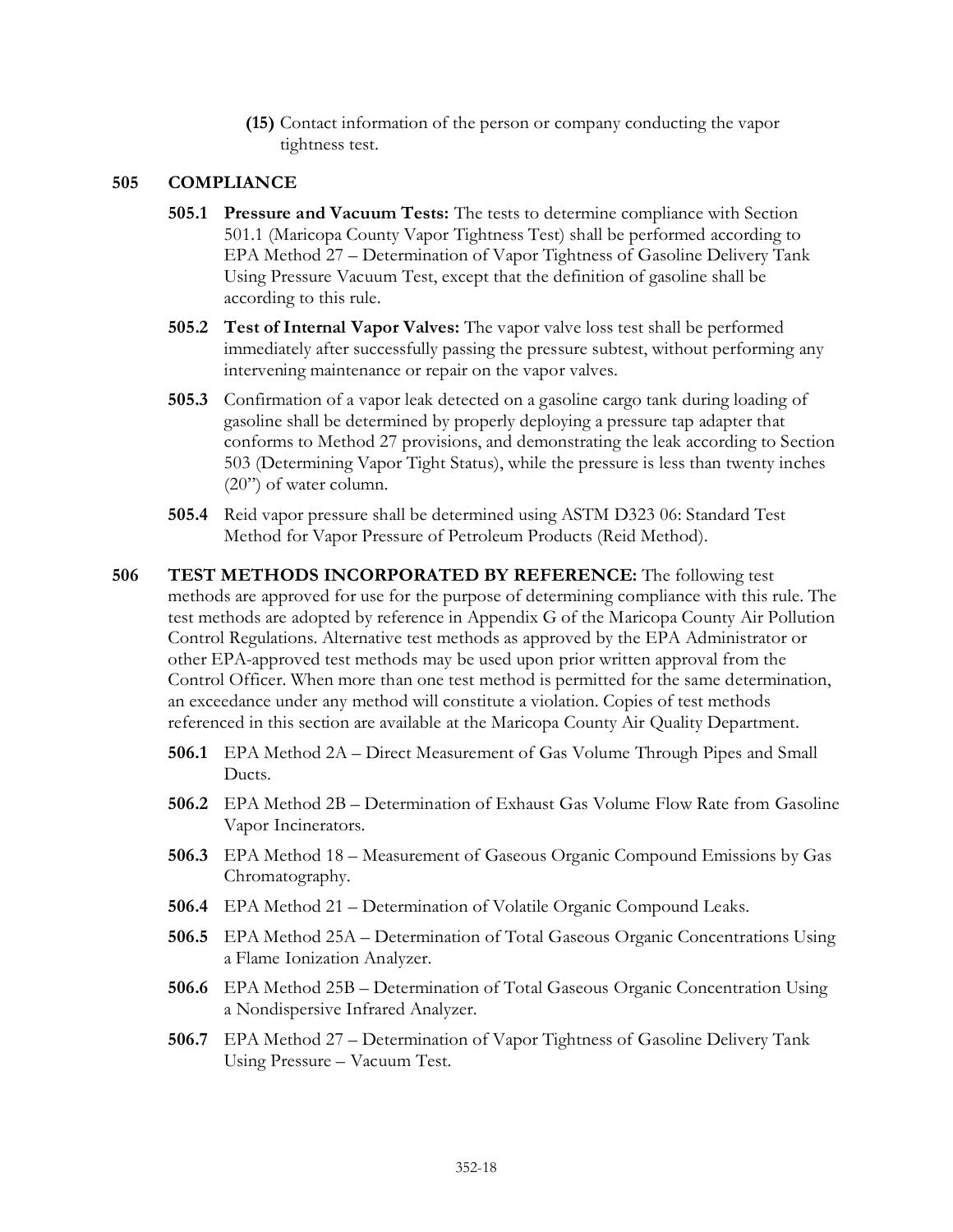**(15)** Contact information of the person or company conducting the vapor tightness test.

### **505 COMPLIANCE**

- **505.1 Pressure and Vacuum Tests:** The tests to determine compliance with Section 501.1 (Maricopa County Vapor Tightness Test) shall be performed according to EPA Method 27 – Determination of Vapor Tightness of Gasoline Delivery Tank Using Pressure Vacuum Test, except that the definition of gasoline shall be according to this rule.
- **505.2 Test of Internal Vapor Valves:** The vapor valve loss test shall be performed immediately after successfully passing the pressure subtest, without performing any intervening maintenance or repair on the vapor valves.
- **505.3** Confirmation of a vapor leak detected on a gasoline cargo tank during loading of gasoline shall be determined by properly deploying a pressure tap adapter that conforms to Method 27 provisions, and demonstrating the leak according to Section 503 (Determining Vapor Tight Status), while the pressure is less than twenty inches (20") of water column.
- **505.4** Reid vapor pressure shall be determined using ASTM D323 06: Standard Test Method for Vapor Pressure of Petroleum Products (Reid Method).
- **506 TEST METHODS INCORPORATED BY REFERENCE:** The following test methods are approved for use for the purpose of determining compliance with this rule. The test methods are adopted by reference in Appendix G of the Maricopa County Air Pollution Control Regulations. Alternative test methods as approved by the EPA Administrator or other EPA-approved test methods may be used upon prior written approval from the Control Officer. When more than one test method is permitted for the same determination, an exceedance under any method will constitute a violation. Copies of test methods referenced in this section are available at the Maricopa County Air Quality Department.
	- **506.1** EPA Method 2A Direct Measurement of Gas Volume Through Pipes and Small Ducts.
	- **506.2** EPA Method 2B Determination of Exhaust Gas Volume Flow Rate from Gasoline Vapor Incinerators.
	- **506.3** EPA Method 18 Measurement of Gaseous Organic Compound Emissions by Gas Chromatography.
	- **506.4** EPA Method 21 Determination of Volatile Organic Compound Leaks.
	- **506.5** EPA Method 25A Determination of Total Gaseous Organic Concentrations Using a Flame Ionization Analyzer.
	- **506.6** EPA Method 25B Determination of Total Gaseous Organic Concentration Using a Nondispersive Infrared Analyzer.
	- **506.7** EPA Method 27 Determination of Vapor Tightness of Gasoline Delivery Tank Using Pressure – Vacuum Test.